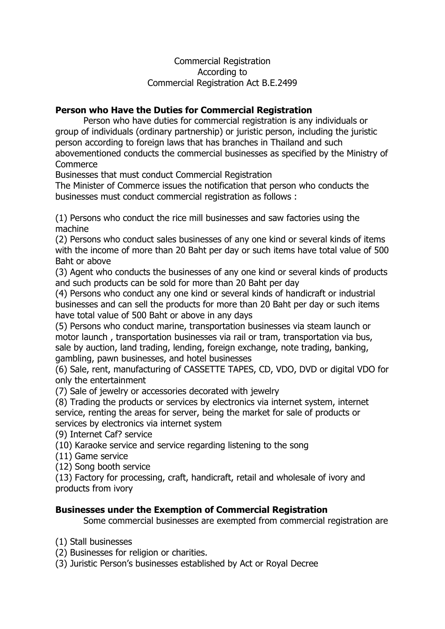#### Commercial Registration According to Commercial Registration Act B.E.2499

### **Person who Have the Duties for Commercial Registration**

 Person who have duties for commercial registration is any individuals or group of individuals (ordinary partnership) or juristic person, including the juristic person according to foreign laws that has branches in Thailand and such abovementioned conducts the commercial businesses as specified by the Ministry of Commerce

Businesses that must conduct Commercial Registration

The Minister of Commerce issues the notification that person who conducts the businesses must conduct commercial registration as follows :

(1) Persons who conduct the rice mill businesses and saw factories using the machine

(2) Persons who conduct sales businesses of any one kind or several kinds of items with the income of more than 20 Baht per day or such items have total value of 500 Baht or above

(3) Agent who conducts the businesses of any one kind or several kinds of products and such products can be sold for more than 20 Baht per day

(4) Persons who conduct any one kind or several kinds of handicraft or industrial businesses and can sell the products for more than 20 Baht per day or such items have total value of 500 Baht or above in any days

(5) Persons who conduct marine, transportation businesses via steam launch or motor launch , transportation businesses via rail or tram, transportation via bus, sale by auction, land trading, lending, foreign exchange, note trading, banking, gambling, pawn businesses, and hotel businesses

(6) Sale, rent, manufacturing of CASSETTE TAPES, CD, VDO, DVD or digital VDO for only the entertainment

(7) Sale of jewelry or accessories decorated with jewelry

(8) Trading the products or services by electronics via internet system, internet service, renting the areas for server, being the market for sale of products or services by electronics via internet system

(9) Internet Caf? service

(10) Karaoke service and service regarding listening to the song

(11) Game service

(12) Song booth service

(13) Factory for processing, craft, handicraft, retail and wholesale of ivory and products from ivory

#### **Businesses under the Exemption of Commercial Registration**

Some commercial businesses are exempted from commercial registration are

(1) Stall businesses

(2) Businesses for religion or charities.

(3) Juristic Person's businesses established by Act or Royal Decree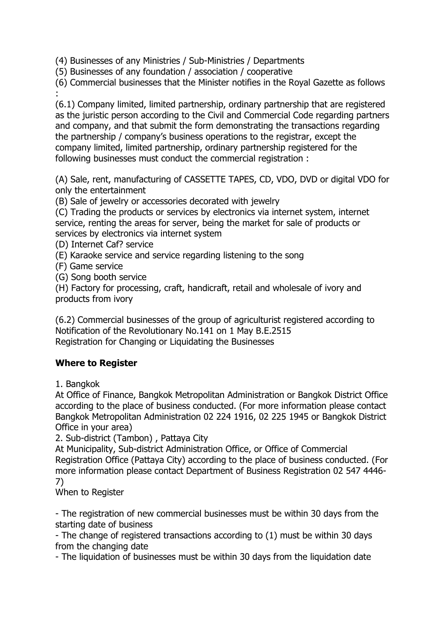(4) Businesses of any Ministries / Sub-Ministries / Departments

(5) Businesses of any foundation / association / cooperative

(6) Commercial businesses that the Minister notifies in the Royal Gazette as follows :

(6.1) Company limited, limited partnership, ordinary partnership that are registered as the juristic person according to the Civil and Commercial Code regarding partners and company, and that submit the form demonstrating the transactions regarding the partnership / company's business operations to the registrar, except the company limited, limited partnership, ordinary partnership registered for the following businesses must conduct the commercial registration :

(A) Sale, rent, manufacturing of CASSETTE TAPES, CD, VDO, DVD or digital VDO for only the entertainment

(B) Sale of jewelry or accessories decorated with jewelry

(C) Trading the products or services by electronics via internet system, internet service, renting the areas for server, being the market for sale of products or services by electronics via internet system

(D) Internet Caf? service

(E) Karaoke service and service regarding listening to the song

(F) Game service

(G) Song booth service

(H) Factory for processing, craft, handicraft, retail and wholesale of ivory and products from ivory

(6.2) Commercial businesses of the group of agriculturist registered according to Notification of the Revolutionary No.141 on 1 May B.E.2515 Registration for Changing or Liquidating the Businesses

# **Where to Register**

1. Bangkok

At Office of Finance, Bangkok Metropolitan Administration or Bangkok District Office according to the place of business conducted. (For more information please contact Bangkok Metropolitan Administration 02 224 1916, 02 225 1945 or Bangkok District Office in your area)

2. Sub-district (Tambon) , Pattaya City

At Municipality, Sub-district Administration Office, or Office of Commercial Registration Office (Pattaya City) according to the place of business conducted. (For more information please contact Department of Business Registration 02 547 4446- 7)

When to Register

- The registration of new commercial businesses must be within 30 days from the starting date of business

- The change of registered transactions according to (1) must be within 30 days from the changing date

- The liquidation of businesses must be within 30 days from the liquidation date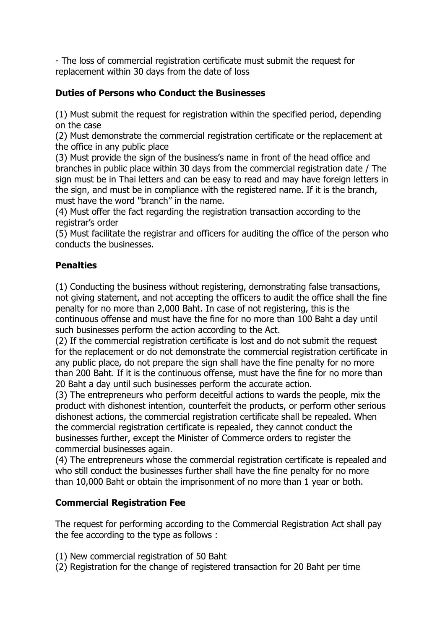- The loss of commercial registration certificate must submit the request for replacement within 30 days from the date of loss

# **Duties of Persons who Conduct the Businesses**

(1) Must submit the request for registration within the specified period, depending on the case

(2) Must demonstrate the commercial registration certificate or the replacement at the office in any public place

(3) Must provide the sign of the business's name in front of the head office and branches in public place within 30 days from the commercial registration date / The sign must be in Thai letters and can be easy to read and may have foreign letters in the sign, and must be in compliance with the registered name. If it is the branch, must have the word "branch" in the name.

(4) Must offer the fact regarding the registration transaction according to the registrar's order

(5) Must facilitate the registrar and officers for auditing the office of the person who conducts the businesses.

## **Penalties**

(1) Conducting the business without registering, demonstrating false transactions, not giving statement, and not accepting the officers to audit the office shall the fine penalty for no more than 2,000 Baht. In case of not registering, this is the continuous offense and must have the fine for no more than 100 Baht a day until such businesses perform the action according to the Act.

(2) If the commercial registration certificate is lost and do not submit the request for the replacement or do not demonstrate the commercial registration certificate in any public place, do not prepare the sign shall have the fine penalty for no more than 200 Baht. If it is the continuous offense, must have the fine for no more than 20 Baht a day until such businesses perform the accurate action.

(3) The entrepreneurs who perform deceitful actions to wards the people, mix the product with dishonest intention, counterfeit the products, or perform other serious dishonest actions, the commercial registration certificate shall be repealed. When the commercial registration certificate is repealed, they cannot conduct the businesses further, except the Minister of Commerce orders to register the commercial businesses again.

(4) The entrepreneurs whose the commercial registration certificate is repealed and who still conduct the businesses further shall have the fine penalty for no more than 10,000 Baht or obtain the imprisonment of no more than 1 year or both.

# **Commercial Registration Fee**

The request for performing according to the Commercial Registration Act shall pay the fee according to the type as follows :

- (1) New commercial registration of 50 Baht
- (2) Registration for the change of registered transaction for 20 Baht per time